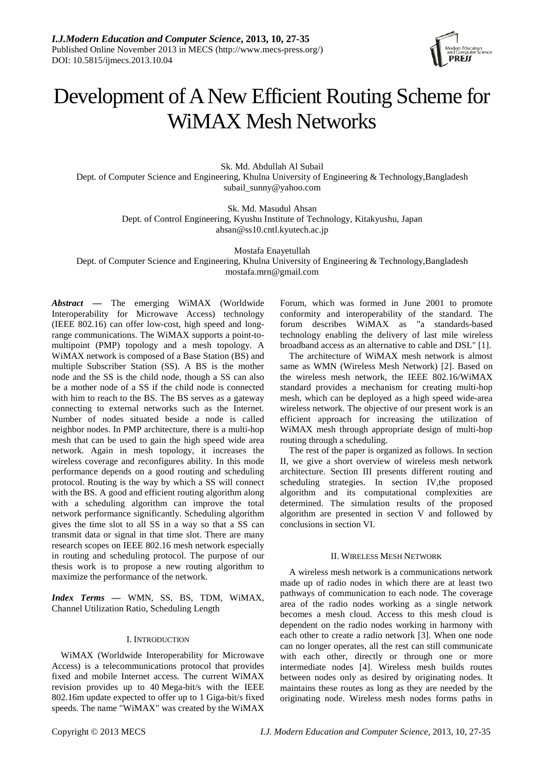

# Development of ANew Efficient Routing Scheme for WiMAX Mesh Networks

Sk. Md. Abdullah Al Subail Dept. of Computer Science and Engineering, Khulna University of Engineering & Technology,Bangladesh subail\_sunny@yahoo.com

> Sk. Md. Masudul Ahsan Dept. of Control Engineering, Kyushu Institute of Technology, Kitakyushu, Japan ahsan@ss10.cntl.kyutech.ac.jp

> > Mostafa Enayetullah

Dept. of Computer Science and Engineering, Khulna University of Engineering & Technology,Bangladesh mostafa.mrn@gmail.com

*Abstract —* The emerging WiMAX (Worldwide Interoperability for Microwave Access) technology (IEEE 802.16) can offer low-cost, high speed and longrange communications. The WiMAX supports a point-tomultipoint (PMP) topology and a mesh topology. A WiMAX network is composed of a Base Station (BS) and multiple Subscriber Station (SS). A BS is the mother node and the SS is the child node, though a SS can also be a mother node of a SS if the child node is connected with him to reach to the BS. The BS serves as a gateway connecting to external networks such as the Internet. Number of nodes situated beside a node is called neighbor nodes. In PMP architecture, there is a multi-hop mesh that can be used to gain the high speed wide area network. Again in mesh topology, it increases the wireless coverage and reconfigures ability. In this mode performance depends on a good routing and scheduling protocol. Routing is the way by which a SS will connect with the BS. A good and efficient routing algorithm along with a scheduling algorithm can improve the total network performance significantly. Scheduling algorithm gives the time slot to all SS in a way so that a SS can transmit data or signal in that time slot. There are many research scopes on IEEE 802.16 mesh network especially in routing and scheduling protocol. The purpose of our thesis work is to propose a new routing algorithm to maximize the performance of the network.

*Index Terms* **—** WMN, SS, BS, TDM, WiMAX, Channel Utilization Ratio, Scheduling Length

# I. INTRODUCTION

WiMAX (Worldwide Interoperability for Microwave Access) is a telecommunications protocol that provides fixed and mobile Internet access. The current WiMAX revision provides up to 40 Mega-bit/s with the IEEE 802.16m update expected to offer up to 1 Giga-bit/s fixed speeds. The name "WiMAX" was created by the WiMAX

Forum, which was formed in June 2001 to promote conformity and interoperability of the standard. The forum describes WiMAX as "a standards-based technology enabling the delivery of last mile wireless broadband access as an alternative to cable and DSL" [1].

The architecture of WiMAX mesh network is almost same as WMN (Wireless Mesh Network) [2]. Based on the wireless mesh network, the IEEE 802.16/WiMAX standard provides a mechanism for creating multi-hop mesh, which can be deployed as a high speed wide-area wireless network. The objective of our present work is an efficient approach for increasing the utilization of WiMAX mesh through appropriate design of multi-hop routing through a scheduling.

The rest of the paper is organized as follows. In section II, we give a short overview of wireless mesh network architecture. Section III presents different routing and scheduling strategies. In section IV,the proposed algorithm and its computational complexities are determined. The simulation results of the proposed algorithm are presented in section V and followed by conclusions in section VI.

# II. WIRELESS MESH NETWORK

A wireless mesh network is a communications network made up of radio nodes in which there are at least two pathways of communication to each node. The coverage area of the radio nodes working as a single network becomes a mesh cloud. Access to this mesh cloud is dependent on the radio nodes working in harmony with each other to create a radio network [3]. When one node can no longer operates, all the rest can still communicate with each other, directly or through one or more intermediate nodes [4]. Wireless mesh builds routes between nodes only as desired by originating nodes. It maintains these routes as long as they are needed by the originating node. Wireless mesh nodes forms paths in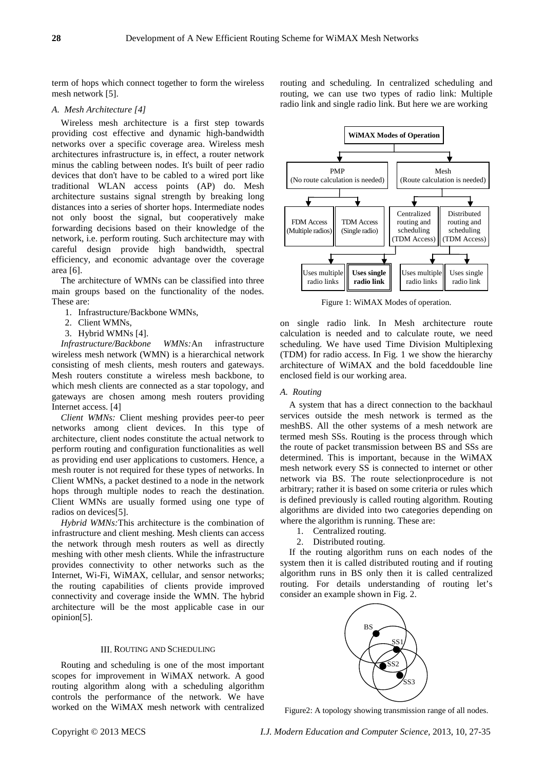term of hops which connect together to form the wireless mesh network [5].

# *A. Mesh Architecture [4]*

Wireless mesh architecture is a first step towards providing cost effective and dynamic high-bandwidth networks over a specific coverage area. Wireless mesh architectures infrastructure is, in effect, a router network minus the cabling between nodes. It's built of peer radio devices that don't have to be cabled to a wired port like traditional WLAN access points (AP) do. Mesh architecture sustains signal strength by breaking long distances into a series of shorter hops. Intermediate nodes not only boost the signal, but cooperatively make forwarding decisions based on their knowledge of the network, i.e. perform routing. Such architecture may with careful design provide high bandwidth, spectral efficiency, and economic advantage over the coverage area [6].

The architecture of WMNs can be classified into three main groups based on the functionality of the nodes. These are:

- 1. Infrastructure/Backbone WMNs,
- 2. Client WMNs,
- 3. Hybrid WMNs [4].

*Infrastructure/Backbone WMNs:*An infrastructure wireless mesh network (WMN) is a hierarchical network consisting of mesh clients, mesh routers and gateways. Mesh routers constitute a wireless mesh backbone, to which mesh clients are connected as a star topology, and gateways are chosen among mesh routers providing Internet access. [4]

*Client WMNs:* Client meshing provides peer-to peer networks among client devices. In this type of architecture, client nodes constitute the actual network to perform routing and configuration functionalities as well as providing end user applications to customers. Hence, a mesh router is not required for these types of networks. In Client WMNs, a packet destined to a node in the network hops through multiple nodes to reach the destination. Client WMNs are usually formed using one type of radios on devices[5].

*Hybrid WMNs:*This architecture is the combination of infrastructure and client meshing. Mesh clients can access the network through mesh routers as well as directly meshing with other mesh clients. While the infrastructure provides connectivity to other networks such as the Internet, Wi-Fi, WiMAX, cellular, and sensor networks; the routing capabilities of clients provide improved connectivity and coverage inside the WMN. The hybrid architecture will be the most applicable case in our opinion[5].

## III. ROUTING AND SCHEDULING

Routing and scheduling is one of the most important scopes for improvement in WiMAX network. A good routing algorithm along with a scheduling algorithm controls the performance of the network. We have worked on the WiMAX mesh network with centralized routing and scheduling. In centralized scheduling and routing, we can use two types of radio link: Multiple radio link and single radio link. But here we are working



Figure 1: WiMAX Modes of operation.

on single radio link. In Mesh architecture route calculation is needed and to calculate route, we need scheduling. We have used Time Division Multiplexing (TDM) for radio access. In Fig. 1 we show the hierarchy architecture of WiMAX and the bold faceddouble line enclosed field is our working area.

#### *A. Routing*

A system that has a direct connection to the backhaul services outside the mesh network is termed as the meshBS. All the other systems of a mesh network are termed mesh SSs. Routing is the process through which the route of packet transmission between BS and SSs are determined. This is important, because in the WiMAX mesh network every SS is connected to internet or other network via BS. The route selectionprocedure is not arbitrary; rather it is based on some criteria or rules which is defined previously is called routing algorithm. Routing algorithms are divided into two categories depending on where the algorithm is running. These are:

- 1. Centralized routing.
- 2. Distributed routing.

If the routing algorithm runs on each nodes of the system then it is called distributed routing and if routing algorithm runs in BS only then it is called centralized routing. For details understanding of routing let's consider an example shown in Fig. 2.



Figure2: A topology showing transmission range of all nodes.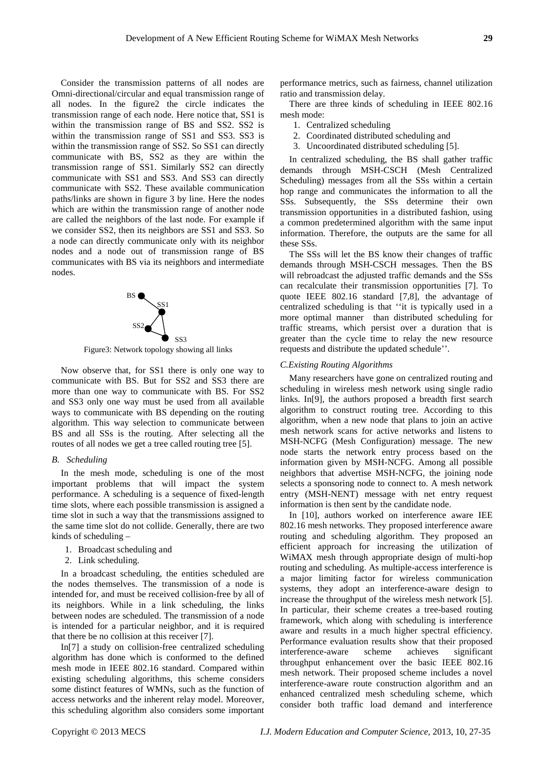Consider the transmission patterns of all nodes are Omni-directional/circular and equal transmission range of all nodes. In the figure2 the circle indicates the transmission range of each node. Here notice that, SS1 is within the transmission range of BS and SS2. SS2 is within the transmission range of SS1 and SS3. SS3 is within the transmission range of SS2. So SS1 can directly communicate with BS, SS2 as they are within the transmission range of SS1. Similarly SS2 can directly communicate with SS1 and SS3. And SS3 can directly communicate with SS2. These available communication paths/links are shown in figure 3 by line. Here the nodes which are within the transmission range of another node are called the neighbors of the last node. For example if we consider SS2, then its neighbors are SS1 and SS3. So a node can directly communicate only with its neighbor nodes and a node out of transmission range of BS communicates with BS via its neighbors and intermediate nodes.



Figure3: Network topology showing all links

Now observe that, for SS1 there is only one way to communicate with BS. But for SS2 and SS3 there are more than one way to communicate with BS. For SS2 and SS3 only one way must be used from all available ways to communicate with BS depending on the routing algorithm. This way selection to communicate between BS and all SSs is the routing. After selecting all the routes of all nodes we get a tree called routing tree [5].

# *B. Scheduling*

In the mesh mode, scheduling is one of the most important problems that will impact the system performance. A scheduling is a sequence of fixed-length time slots, where each possible transmission is assigned a time slot in such a way that the transmissions assigned to the same time slot do not collide. Generally, there are two kinds of scheduling –

- 1. Broadcast scheduling and
- 2. Link scheduling.

In a broadcast scheduling, the entities scheduled are the nodes themselves. The transmission of a node is intended for, and must be received collision-free by all of its neighbors. While in a link scheduling, the links between nodes are scheduled. The transmission of a node is intended for a particular neighbor, and it is required that there be no collision at this receiver [7].

In[7] a study on collision-free centralized scheduling algorithm has done which is conformed to the defined mesh mode in IEEE 802.16 standard. Compared within existing scheduling algorithms, this scheme considers some distinct features of WMNs, such as the function of access networks and the inherent relay model. Moreover, this scheduling algorithm also considers some important performance metrics, such as fairness, channel utilization ratio and transmission delay.

There are three kinds of scheduling in IEEE 802.16 mesh mode:

- 1. Centralized scheduling
- 2. Coordinated distributed scheduling and
- 3. Uncoordinated distributed scheduling [5].

In centralized scheduling, the BS shall gather traffic demands through MSH-CSCH (Mesh Centralized Scheduling) messages from all the SSs within a certain hop range and communicates the information to all the SSs. Subsequently, the SSs determine their own transmission opportunities in a distributed fashion, using a common predetermined algorithm with the same input information. Therefore, the outputs are the same for all these SSs.

The SSs will let the BS know their changes of traffic demands through MSH-CSCH messages. Then the BS will rebroadcast the adjusted traffic demands and the SSs can recalculate their transmission opportunities [7]. To quote IEEE 802.16 standard [7,8], the advantage of centralized scheduling is that ''it is typically used in a more optimal manner than distributed scheduling for traffic streams, which persist over a duration that is greater than the cycle time to relay the new resource requests and distribute the updated schedule''.

## *C.Existing Routing Algorithms*

Many researchers have gone on centralized routing and scheduling in wireless mesh network using single radio links. In[9], the authors proposed a breadth first search algorithm to construct routing tree. According to this algorithm, when a new node that plans to join an active mesh network scans for active networks and listens to MSH-NCFG (Mesh Configuration) message. The new node starts the network entry process based on the information given by MSH-NCFG. Among all possible neighbors that advertise MSH-NCFG, the joining node selects a sponsoring node to connect to. A mesh network entry (MSH-NENT) message with net entry request information is then sent by the candidate node.

In [10], authors worked on interference aware IEE 802.16 mesh networks. They proposed interference aware routing and scheduling algorithm. They proposed an efficient approach for increasing the utilization of WiMAX mesh through appropriate design of multi-hop routing and scheduling. As multiple-access interference is a major limiting factor for wireless communication systems, they adopt an interference-aware design to increase the throughput of the wireless mesh network [5]. In particular, their scheme creates a tree-based routing framework, which along with scheduling is interference aware and results in a much higher spectral efficiency. Performance evaluation results show that their proposed interference-aware scheme achieves significant throughput enhancement over the basic IEEE 802.16 mesh network. Their proposed scheme includes a novel interference-aware route construction algorithm and an enhanced centralized mesh scheduling scheme, which consider both traffic load demand and interference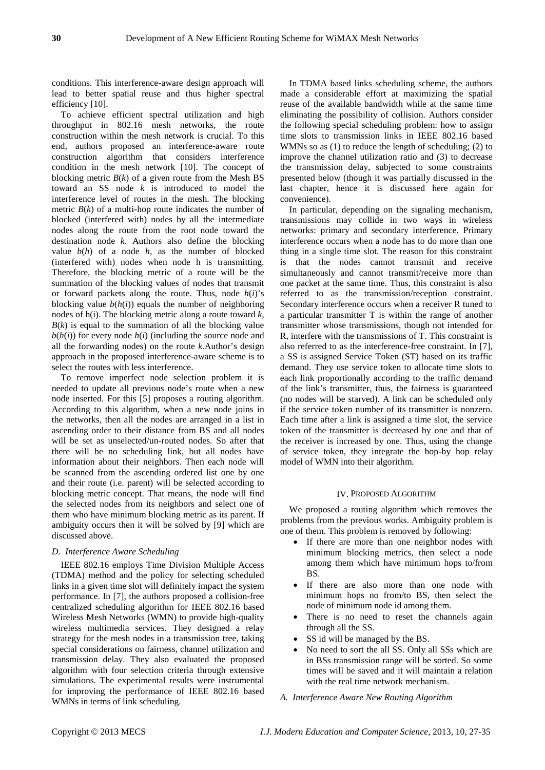conditions. This interference-aware design approach will lead to better spatial reuse and thus higher spectral efficiency [10].

To achieve efficient spectral utilization and high throughput in 802.16 mesh networks, the route construction within the mesh network is crucial. To this end, authors proposed an interference-aware route construction algorithm that considers interference condition in the mesh network [10]. The concept of blocking metric  $B(k)$  of a given route from the Mesh BS toward an SS node *k* is introduced to model the interference level of routes in the mesh. The blocking metric  $B(k)$  of a multi-hop route indicates the number of blocked (interfered with) nodes by all the intermediate nodes along the route from the root node toward the destination node *k*. Authors also define the blocking value  $b(h)$  of a node  $h$ , as the number of blocked (interfered with) nodes when node h is transmitting. Therefore, the blocking metric of a route will be the summation of the blocking values of nodes that transmit or forward packets along the route. Thus, node *h*(*i*)'s blocking value  $b(h(i))$  equals the number of neighboring nodes of h(i). The blocking metric along a route toward *k*,  $B(k)$  is equal to the summation of all the blocking value  $b(h(i))$  for every node  $h(i)$  (including the source node and all the forwarding nodes) on the route *k*.Author's design approach in the proposed interference-aware scheme is to select the routes with less interference.

To remove imperfect node selection problem it is needed to update all previous node's route when a new node inserted. For this [5] proposes a routing algorithm. According to this algorithm, when a new node joins in the networks, then all the nodes are arranged in a list in ascending order to their distance from BS and all nodes will be set as unselected/un-routed nodes. So after that there will be no scheduling link, but all nodes have information about their neighbors. Then each node will be scanned from the ascending ordered list one by one and their route (i.e. parent) will be selected according to blocking metric concept. That means, the node will find the selected nodes from its neighbors and select one of them who have minimum blocking metric as its parent. If ambiguity occurs then it will be solved by [9] which are discussed above.

## *D. Interference Aware Scheduling*

IEEE 802.16 employs Time Division Multiple Access (TDMA) method and the policy for selecting scheduled links in a given time slot will definitely impact the system performance. In [7], the authors proposed a collision-free centralized scheduling algorithm for IEEE 802.16 based Wireless Mesh Networks (WMN) to provide high-quality wireless multimedia services. They designed a relay strategy for the mesh nodes in a transmission tree, taking special considerations on fairness, channel utilization and transmission delay. They also evaluated the proposed algorithm with four selection criteria through extensive simulations. The experimental results were instrumental for improving the performance of IEEE 802.16 based WMNs in terms of link scheduling.

In TDMA based links scheduling scheme, the authors made a considerable effort at maximizing the spatial reuse of the available bandwidth while at the same time eliminating the possibility of collision. Authors consider the following special scheduling problem: how to assign time slots to transmission links in IEEE 802.16 based WMNs so as (1) to reduce the length of scheduling; (2) to improve the channel utilization ratio and (3) to decrease the transmission delay, subjected to some constraints presented below (though it was partially discussed in the last chapter, hence it is discussed here again for convenience).

In particular, depending on the signaling mechanism, transmissions may collide in two ways in wireless networks: primary and secondary interference. Primary interference occurs when a node has to do more than one thing in a single time slot. The reason for this constraint is that the nodes cannot transmit and receive simultaneously and cannot transmit/receive more than one packet at the same time. Thus, this constraint is also referred to as the transmission/reception constraint. Secondary interference occurs when a receiver R tuned to a particular transmitter T is within the range of another transmitter whose transmissions, though not intended for R, interfere with the transmissions of T. This constraint is also referred to as the interference-free constraint. In [7], a SS is assigned Service Token (ST) based on its traffic demand. They use service token to allocate time slots to each link proportionally according to the traffic demand of the link's transmitter, thus, the fairness is guaranteed (no nodes will be starved). A link can be scheduled only if the service token number of its transmitter is nonzero. Each time after a link is assigned a time slot, the service token of the transmitter is decreased by one and that of the receiver is increased by one. Thus, using the change of service token, they integrate the hop-by hop relay model of WMN into their algorithm.

# IV. PROPOSED ALGORITHM

We proposed a routing algorithm which removes the problems from the previous works. Ambiguity problem is one of them. This problem is removed by following:

- If there are more than one neighbor nodes with minimum blocking metrics, then select a node among them which have minimum hops to/from BS.
- If there are also more than one node with minimum hops no from/to BS, then select the node of minimum node id among them.
- There is no need to reset the channels again through all the SS.
- SS id will be managed by the BS.
- No need to sort the all SS. Only all SSs which are in BSs transmission range will be sorted. So some times will be saved and it will maintain a relation with the real time network mechanism.

# *A. Interference Aware New Routing Algorithm*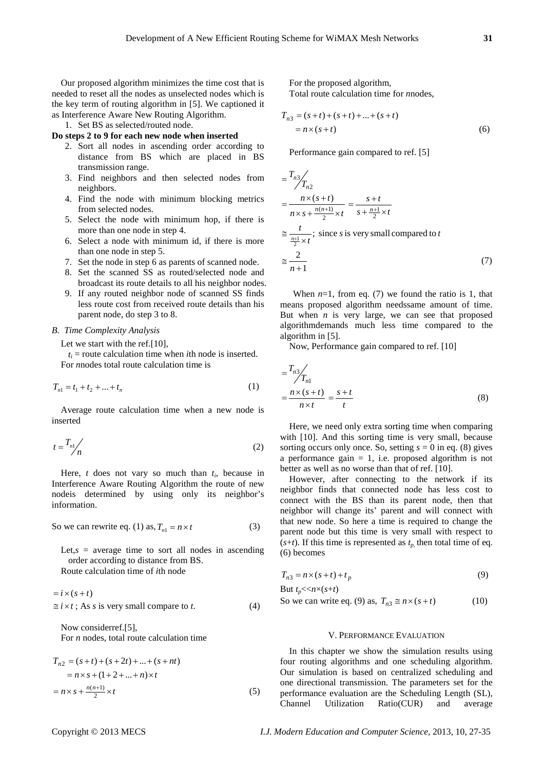Our proposed algorithm minimizes the time cost that is needed to reset all the nodes as unselected nodes which is the key term of routing algorithm in [5]. We captioned it as Interference Aware New Routing Algorithm.

1. Set BS as selected/routed node.

# **Do steps 2 to 9 for each new node when inserted**

- 2. Sort all nodes in ascending order according to distance from BS which are placed in BS transmission range.
- 3. Find neighbors and then selected nodes from neighbors.
- 4. Find the node with minimum blocking metrics from selected nodes.
- 5. Select the node with minimum hop, if there is more than one node in step 4.
- 6. Select a node with minimum id, if there is more than one node in step 5.
- 7. Set the node in step 6 as parents of scanned node.
- 8. Set the scanned SS as routed/selected node and broadcast its route details to all his neighbor nodes.
- 9. If any routed neighbor node of scanned SS finds less route cost from received route details than his parent node, do step 3 to 8.

# *B. Time Complexity Analysis*

Let we start with the ref.<sup>[10]</sup>,

 $t_i$  = route calculation time when *i*th node is inserted. For *n*nodes total route calculation time is

$$
T_{n1} = t_1 + t_2 + \dots + t_n \tag{1}
$$

Average route calculation time when a new node is inserted

$$
t = \frac{T_{n1}}{n} \tag{2}
$$

Here,  $t$  does not vary so much than  $t_i$ , because in Interference Aware Routing Algorithm the route of new nodeis determined by using only its neighbor's information.

So we can rewrite eq. (1) as, 
$$
T_{n1} = n \times t
$$
 (3)

Let, $s$  = average time to sort all nodes in ascending order according to distance from BS. Route calculation time of *i*th node

$$
= i \times (s + t)
$$
  
\n
$$
\approx i \times t
$$
; As *s* is very small compare to *t*. (4)

Now considerref.[5], For *n* nodes, total route calculation time

$$
T_{n2} = (s+t) + (s+2t) + ... + (s+nt)
$$
  
=  $n \times s + (1+2+...+n) \times t$   
=  $n \times s + \frac{n(n+1)}{2} \times t$  (5)

For the proposed algorithm, Total route calculation time for *n*nodes,

$$
T_{n3} = (s+t) + (s+t) + \dots + (s+t)
$$
  
=  $n \times (s+t)$  (6)

Performance gain compared to ref. [5]

$$
= \frac{T_{n3}}{T_{n2}}
$$
  
=  $\frac{n \times (s+t)}{n \times s + \frac{n(n+1)}{2} \times t} = \frac{s+t}{s + \frac{n+1}{2} \times t}$   

$$
\approx \frac{t}{\frac{n+1}{2} \times t};
$$
 since *s* is very small compared to *t*  

$$
\approx \frac{2}{n+1}
$$
 (7)

When  $n=1$ , from eq. (7) we found the ratio is 1, that means proposed algorithm needssame amount of time. But when  $n$  is very large, we can see that proposed algorithmdemands much less time compared to the algorithm in [5].

Now, Performance gain compared to ref. [10]

$$
= \frac{T_{n3}}{T_{n1}}
$$
  
= 
$$
\frac{n \times (s+t)}{n \times t} = \frac{s+t}{t}
$$
 (8)

Here, we need only extra sorting time when comparing with [10]. And this sorting time is very small, because sorting occurs only once. So, setting  $s = 0$  in eq. (8) gives a performance gain  $= 1$ , i.e. proposed algorithm is not better as well as no worse than that of ref. [10].

However, after connecting to the network if its neighbor finds that connected node has less cost to connect with the BS than its parent node, then that neighbor will change its' parent and will connect with that new node. So here a time is required to change the parent node but this time is very small with respect to  $(s+t)$ . If this time is represented as  $t_p$ , then total time of eq. (6) becomes

$$
T_{n3} = n \times (s+t) + t_p \tag{9}
$$

But  $t_p \ll n \times (s+t)$ So we can write eq. (9) as,  $T_{n3} \approx n \times (s + t)$  (10)

#### V. PERFORMANCE EVALUATION

In this chapter we show the simulation results using four routing algorithms and one scheduling algorithm. Our simulation is based on centralized scheduling and one directional transmission. The parameters set for the performance evaluation are the Scheduling Length (SL), Channel Utilization Ratio(CUR) and average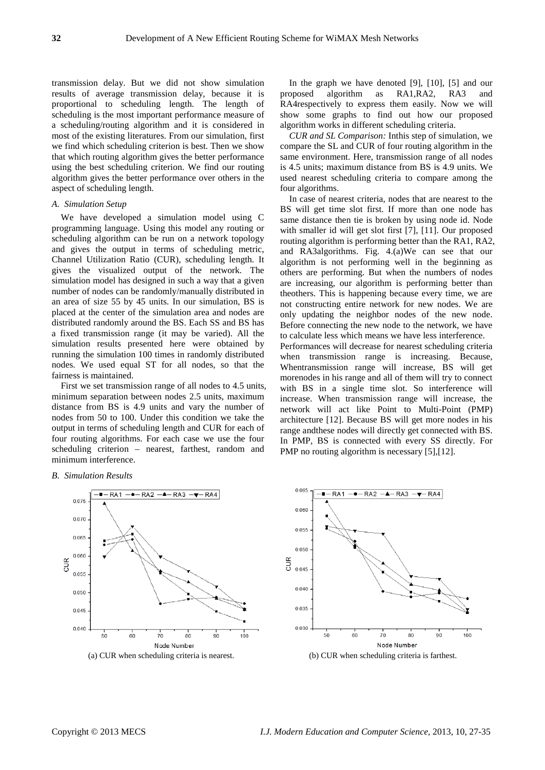transmission delay. But we did not show simulation results of average transmission delay, because it is proportional to scheduling length. The length of scheduling is the most important performance measure of a scheduling/routing algorithm and it is considered in most of the existing literatures. From our simulation, first we find which scheduling criterion is best. Then we show that which routing algorithm gives the better performance using the best scheduling criterion. We find our routing algorithm gives the better performance over others in the aspect of scheduling length.

# *A. Simulation Setup*

We have developed a simulation model using C programming language. Using this model any routing or scheduling algorithm can be run on a network topology and gives the output in terms of scheduling metric, Channel Utilization Ratio (CUR), scheduling length. It gives the visualized output of the network. The simulation model has designed in such a way that a given number of nodes can be randomly/manually distributed in an area of size 55 by 45 units. In our simulation, BS is placed at the center of the simulation area and nodes are distributed randomly around the BS. Each SS and BS has a fixed transmission range (it may be varied). All the simulation results presented here were obtained by running the simulation 100 times in randomly distributed nodes. We used equal ST for all nodes, so that the fairness is maintained.

First we set transmission range of all nodes to 4.5 units, minimum separation between nodes 2.5 units, maximum distance from BS is 4.9 units and vary the number of nodes from 50 to 100. Under this condition we take the output in terms of scheduling length and CUR for each of four routing algorithms. For each case we use the four scheduling criterion – nearest, farthest, random and minimum interference.

In the graph we have denoted [9], [10], [5] and our proposed algorithm as RA1,RA2, RA3 and RA4respectively to express them easily. Now we will show some graphs to find out how our proposed algorithm works in different scheduling criteria.

*CUR and SL Comparison:* Inthis step of simulation, we compare the SL and CUR of four routing algorithm in the same environment. Here, transmission range of all nodes is 4.5 units; maximum distance from BS is 4.9 units. We used nearest scheduling criteria to compare among the four algorithms.

In case of nearest criteria, nodes that are nearest to the BS will get time slot first. If more than one node has same distance then tie is broken by using node id. Node with smaller id will get slot first [7], [11]. Our proposed routing algorithm is performing better than the RA1, RA2, and RA3algorithms. Fig. 4.(a)We can see that our algorithm is not performing well in the beginning as others are performing. But when the numbers of nodes are increasing, our algorithm is performing better than theothers. This is happening because every time, we are not constructing entire network for new nodes. We are only updating the neighbor nodes of the new node. Before connecting the new node to the network, we have to calculate less which means we have less interference.

Performances will decrease for nearest scheduling criteria when transmission range is increasing. Because, Whentransmission range will increase, BS will get morenodes in his range and all of them will try to connect with BS in a single time slot. So interference will increase. When transmission range will increase, the network will act like Point to Multi-Point (PMP) architecture [12]. Because BS will get more nodes in his range andthese nodes will directly get connected with BS. In PMP, BS is connected with every SS directly. For PMP no routing algorithm is necessary [5], [12].

#### *B. Simulation Results*







(a) CUR when scheduling criteria is nearest. (b) CUR when scheduling criteria is farthest.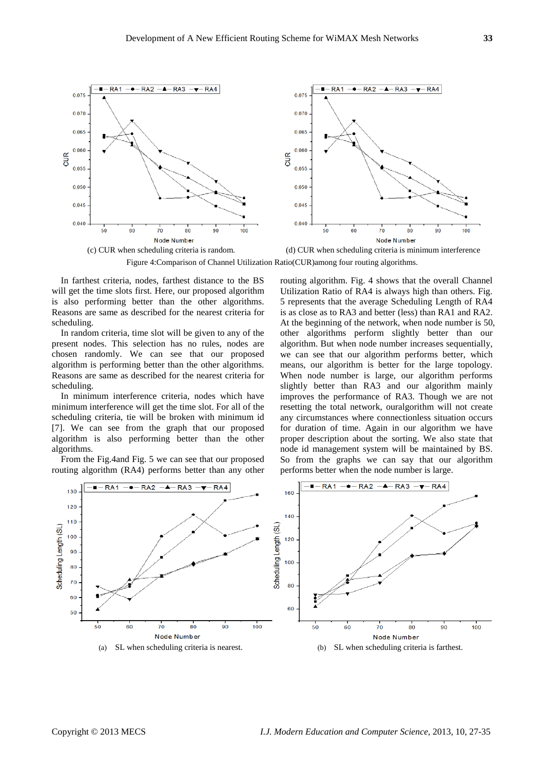

(c) CUR when scheduling criteria is random. (d) CUR when scheduling criteria is minimum interference Figure 4:Comparison of Channel Utilization Ratio(CUR)among four routing algorithms.

In farthest criteria, nodes, farthest distance to the BS will get the time slots first. Here, our proposed algorithm is also performing better than the other algorithms. Reasons are same as described for the nearest criteria for scheduling.

In random criteria, time slot will be given to any of the present nodes. This selection has no rules, nodes are chosen randomly. We can see that our proposed algorithm is performing better than the other algorithms. Reasons are same as described for the nearest criteria for scheduling.

In minimum interference criteria, nodes which have minimum interference will get the time slot. For all of the scheduling criteria, tie will be broken with minimum id [7]. We can see from the graph that our proposed algorithm is also performing better than the other algorithms.

From the Fig.4and Fig. 5 we can see that our proposed routing algorithm (RA4) performs better than any other routing algorithm. Fig. 4 shows that the overall Channel Utilization Ratio of RA4 is always high than others. Fig. 5 represents that the average Scheduling Length of RA4 is as close as to RA3 and better (less) than RA1 and RA2. At the beginning of the network, when node number is 50, other algorithms perform slightly better than our algorithm. But when node number increases sequentially, we can see that our algorithm performs better, which means, our algorithm is better for the large topology. When node number is large, our algorithm performs slightly better than RA3 and our algorithm mainly improves the performance of RA3. Though we are not resetting the total network, ouralgorithm will not create any circumstances where connectionless situation occurs for duration of time. Again in our algorithm we have proper description about the sorting. We also state that node id management system will be maintained by BS. So from the graphs we can say that our algorithm performs better when the node number is large.

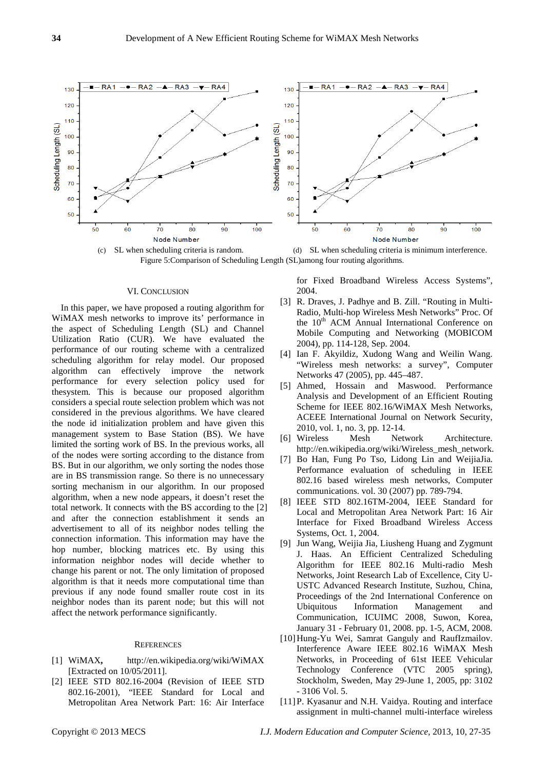

(c) SL when scheduling criteria is random. (d) SL when scheduling criteria is minimum interference. Figure 5:Comparison of Scheduling Length (SL)among four routing algorithms.

#### VI. CONCLUSION

In this paper, we have proposed a routing algorithm for WiMAX mesh networks to improve its' performance in the aspect of Scheduling Length (SL) and Channel Utilization Ratio (CUR). We have evaluated the performance of our routing scheme with a centralized scheduling algorithm for relay model. Our proposed algorithm can effectively improve the network performance for every selection policy used for thesystem. This is because our proposed algorithm considers a special route selection problem which was not considered in the previous algorithms. We have cleared the node id initialization problem and have given this management system to Base Station (BS). We have limited the sorting work of BS. In the previous works, all of the nodes were sorting according to the distance from BS. But in our algorithm, we only sorting the nodes those are in BS transmission range. So there is no unnecessary sorting mechanism in our algorithm. In our proposed algorithm, when a new node appears, it doesn't reset the total network. It connects with the BS according to the [2] and after the connection establishment it sends an advertisement to all of its neighbor nodes telling the connection information. This information may have the hop number, blocking matrices etc. By using this information neighbor nodes will decide whether to change his parent or not. The only limitation of proposed algorithm is that it needs more computational time than previous if any node found smaller route cost in its neighbor nodes than its parent node; but this will not affect the network performance significantly.

## **REFERENCES**

- [1] WiMAX**,** http://en.wikipedia.org/wiki/WiMAX [Extracted on 10/05/2011].
- [2] IEEE STD 802.16-2004 (Revision of IEEE STD 802.16-2001), "IEEE Standard for Local and Metropolitan Area Network Part: 16: Air Interface

for Fixed Broadband Wireless Access Systems", 2004.

- [3] R. Draves, J. Padhye and B. Zill. "Routing in Multi-Radio, Multi-hop Wireless Mesh Networks" Proc. Of the 10<sup>th</sup> ACM Annual International Conference on Mobile Computing and Networking (MOBICOM 2004), pp. 114-128, Sep. 2004.
- [4] Ian F. Akyildiz, Xudong Wang and Weilin Wang. "Wireless mesh networks: a survey", Computer Networks 47 (2005), pp. 445–487.
- [5] Ahmed, Hossain and Maswood. Performance Analysis and Development of an Efficient Routing Scheme for IEEE 802.16/WiMAX Mesh Networks, ACEEE International Journal on Network Security, 2010, vol. 1, no. 3, pp. 12-14.
- [6] Wireless Mesh Network Architecture. http://en.wikipedia.org/wiki/Wireless\_mesh\_network.
- [7] Bo Han, Fung Po Tso, Lidong Lin and WeijiaJia. Performance evaluation of scheduling in IEEE 802.16 based wireless mesh networks, Computer communications. vol. 30 (2007) pp. 789-794.
- [8] IEEE STD 802.16TM-2004, IEEE Standard for Local and Metropolitan Area Network Part: 16 Air Interface for Fixed Broadband Wireless Access Systems, Oct. 1, 2004.
- [9] Jun Wang, Weijia Jia, Liusheng Huang and Zygmunt J. Haas. An Efficient Centralized Scheduling Algorithm for IEEE 802.16 Multi-radio Mesh Networks, Joint Research Lab of Excellence, City U-USTC Advanced Research Institute, Suzhou, China, Proceedings of the 2nd International Conference on Ubiquitous Information Management and Communication, ICUIMC 2008, Suwon, Korea, January 31 - February 01, 2008. pp. 1-5, ACM, 2008.
- [10]Hung-Yu Wei, Samrat Ganguly and RaufIzmailov. Interference Aware IEEE 802.16 WiMAX Mesh Networks, in Proceeding of 61st IEEE Vehicular Technology Conference (VTC 2005 spring), Stockholm, Sweden, May 29-June 1, 2005, pp: 3102 - 3106 Vol. 5.
- [11]P. Kyasanur and N.H. Vaidya. Routing and interface assignment in multi-channel multi-interface wireless